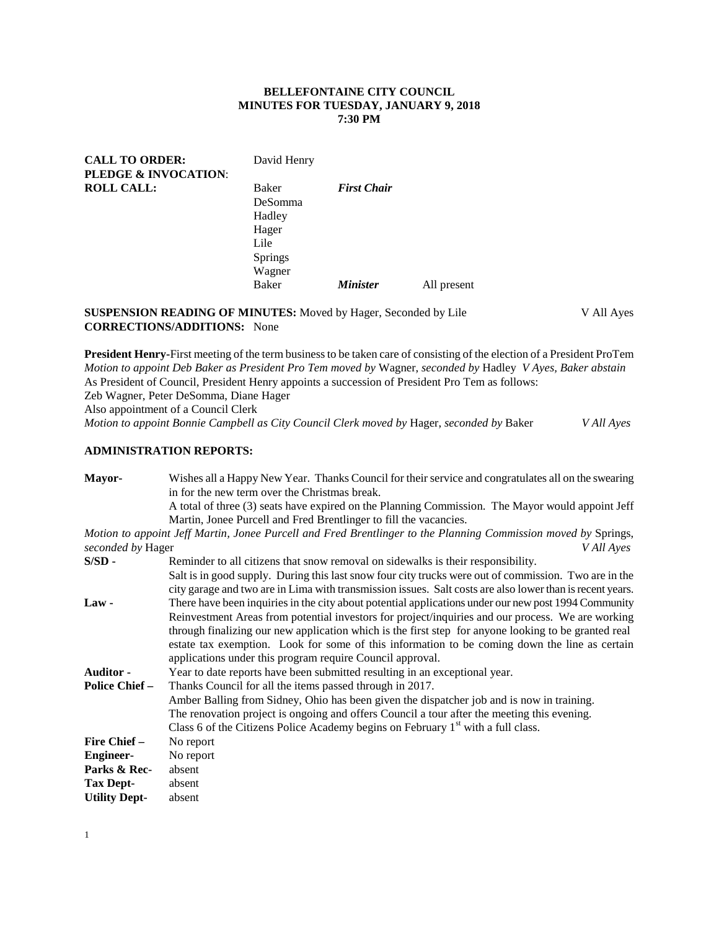## **BELLEFONTAINE CITY COUNCIL MINUTES FOR TUESDAY, JANUARY 9, 2018 7:30 PM**

| <b>CALL TO ORDER:</b>           | David Henry    |                    |             |
|---------------------------------|----------------|--------------------|-------------|
| <b>PLEDGE &amp; INVOCATION:</b> |                |                    |             |
| <b>ROLL CALL:</b>               | Baker          | <b>First Chair</b> |             |
|                                 | DeSomma        |                    |             |
|                                 | Hadley         |                    |             |
|                                 | Hager          |                    |             |
|                                 | Lile           |                    |             |
|                                 | <b>Springs</b> |                    |             |
|                                 | Wagner         |                    |             |
|                                 | Baker          | <b>Minister</b>    | All present |
|                                 |                |                    |             |

## **SUSPENSION READING OF MINUTES:** Moved by Hager, Seconded by Lile V All Ayes **CORRECTIONS/ADDITIONS:** None

**President Henry-**First meeting of the term business to be taken care of consisting of the election of a President ProTem *Motion to appoint Deb Baker as President Pro Tem moved by* Wagner, *seconded by* Hadley *V Ayes, Baker abstain* As President of Council, President Henry appoints a succession of President Pro Tem as follows: Zeb Wagner, Peter DeSomma, Diane Hager

Also appointment of a Council Clerk

*Motion to appoint Bonnie Campbell as City Council Clerk moved by* Hager, *seconded by* Baker *V All Ayes*

# **ADMINISTRATION REPORTS:**

**Mayor-** Wishes all a Happy New Year. Thanks Council for their service and congratulates all on the swearing in for the new term over the Christmas break.

A total of three (3) seats have expired on the Planning Commission. The Mayor would appoint Jeff Martin, Jonee Purcell and Fred Brentlinger to fill the vacancies.

*Motion to appoint Jeff Martin, Jonee Purcell and Fred Brentlinger to the Planning Commission moved by* Springs, *seconded by* Hager *V All Ayes*

| $S/SD -$              | Reminder to all citizens that snow removal on sidewalks is their responsibility.                          |  |  |  |
|-----------------------|-----------------------------------------------------------------------------------------------------------|--|--|--|
|                       | Salt is in good supply. During this last snow four city trucks were out of commission. Two are in the     |  |  |  |
|                       | city garage and two are in Lima with transmission issues. Salt costs are also lower than is recent years. |  |  |  |
| $Law -$               | There have been inquiries in the city about potential applications under our new post 1994 Community      |  |  |  |
|                       | Reinvestment Areas from potential investors for project/inquiries and our process. We are working         |  |  |  |
|                       | through finalizing our new application which is the first step for anyone looking to be granted real      |  |  |  |
|                       | estate tax exemption. Look for some of this information to be coming down the line as certain             |  |  |  |
|                       | applications under this program require Council approval.                                                 |  |  |  |
| <b>Auditor</b> -      | Year to date reports have been submitted resulting in an exceptional year.                                |  |  |  |
| <b>Police Chief –</b> | Thanks Council for all the items passed through in 2017.                                                  |  |  |  |
|                       | Amber Balling from Sidney, Ohio has been given the dispatcher job and is now in training.                 |  |  |  |
|                       | The renovation project is ongoing and offers Council a tour after the meeting this evening.               |  |  |  |
|                       | Class 6 of the Citizens Police Academy begins on February $1st$ with a full class.                        |  |  |  |
| <b>Fire Chief –</b>   | No report                                                                                                 |  |  |  |
| <b>Engineer-</b>      | No report                                                                                                 |  |  |  |
| Parks & Rec-          | absent                                                                                                    |  |  |  |
| <b>Tax Dept-</b>      | absent                                                                                                    |  |  |  |
| <b>Utility Dept-</b>  | absent                                                                                                    |  |  |  |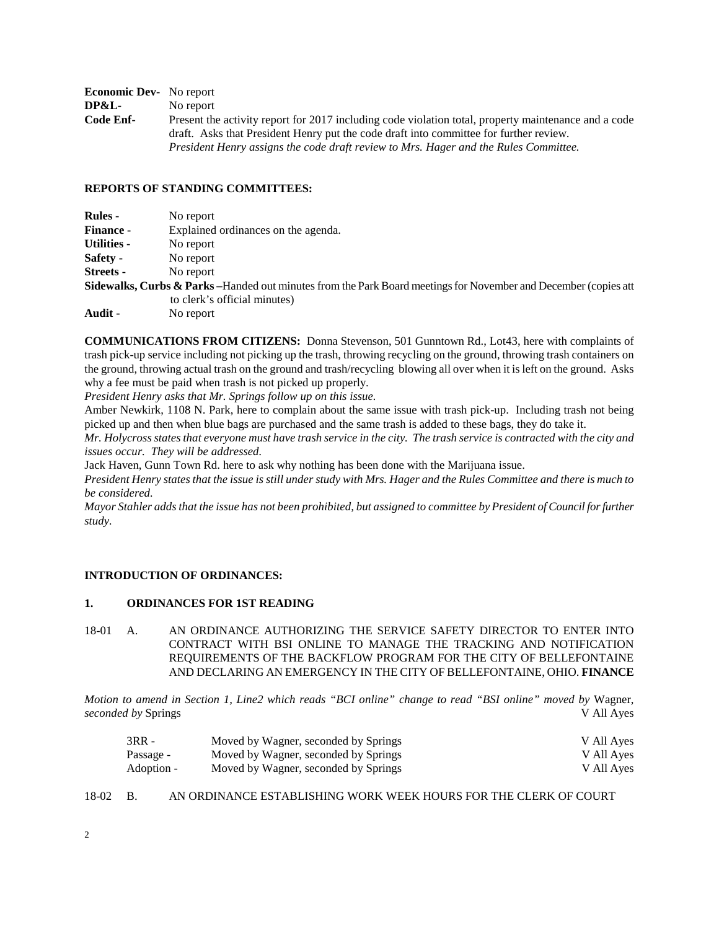| <b>Economic Dev-</b> No report |                                                                                                      |
|--------------------------------|------------------------------------------------------------------------------------------------------|
| <b>DP&amp;L-</b>               | No report                                                                                            |
| Code Enf-                      | Present the activity report for 2017 including code violation total, property maintenance and a code |
|                                | draft. Asks that President Henry put the code draft into committee for further review.               |
|                                | President Henry assigns the code draft review to Mrs. Hager and the Rules Committee.                 |

## **REPORTS OF STANDING COMMITTEES:**

| <b>Rules</b> -   | No report                                                                                                      |
|------------------|----------------------------------------------------------------------------------------------------------------|
| <b>Finance -</b> | Explained ordinances on the agenda.                                                                            |
| Utilities -      | No report                                                                                                      |
| Safety -         | No report                                                                                                      |
| Streets -        | No report                                                                                                      |
|                  | Sidewalks, Curbs & Parks-Handed out minutes from the Park Board meetings for November and December (copies att |
|                  | to clerk's official minutes)                                                                                   |
| Audit -          | No report                                                                                                      |

**COMMUNICATIONS FROM CITIZENS:** Donna Stevenson, 501 Gunntown Rd., Lot43, here with complaints of trash pick-up service including not picking up the trash, throwing recycling on the ground, throwing trash containers on the ground, throwing actual trash on the ground and trash/recycling blowing all over when it is left on the ground. Asks why a fee must be paid when trash is not picked up properly.

*President Henry asks that Mr. Springs follow up on this issue.*

Amber Newkirk, 1108 N. Park, here to complain about the same issue with trash pick-up. Including trash not being picked up and then when blue bags are purchased and the same trash is added to these bags, they do take it.

*Mr. Holycross states that everyone must have trash service in the city. The trash service is contracted with the city and issues occur. They will be addressed.*

Jack Haven, Gunn Town Rd. here to ask why nothing has been done with the Marijuana issue.

*President Henry states that the issue is still under study with Mrs. Hager and the Rules Committee and there is much to be considered.*

*Mayor Stahler adds that the issue has not been prohibited, but assigned to committee by President of Council for further study.*

#### **INTRODUCTION OF ORDINANCES:**

# **1. ORDINANCES FOR 1ST READING**

18-01 A. AN ORDINANCE AUTHORIZING THE SERVICE SAFETY DIRECTOR TO ENTER INTO CONTRACT WITH BSI ONLINE TO MANAGE THE TRACKING AND NOTIFICATION REQUIREMENTS OF THE BACKFLOW PROGRAM FOR THE CITY OF BELLEFONTAINE AND DECLARING AN EMERGENCY IN THE CITY OF BELLEFONTAINE, OHIO. **FINANCE**

*Motion to amend in Section 1, Line2 which reads "BCI online" change to read "BSI online" moved by* Wagner, *seconded by* Springs V All Ayes

| $3RR -$    | Moved by Wagner, seconded by Springs | V All Ayes |
|------------|--------------------------------------|------------|
| Passage -  | Moved by Wagner, seconded by Springs | V All Ayes |
| Adoption - | Moved by Wagner, seconded by Springs | V All Ayes |

18-02 B. AN ORDINANCE ESTABLISHING WORK WEEK HOURS FOR THE CLERK OF COURT